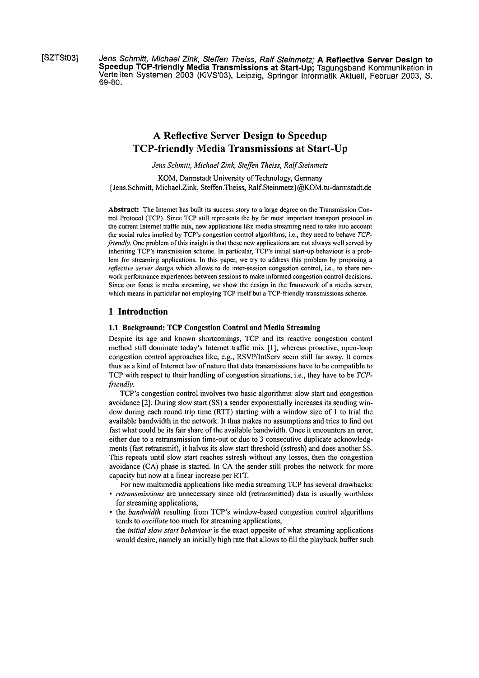[SZTSt03] Jens Schmitt, Michael Zink, Steffen Theiss, Ralf Steinmetz; **A Reflective Server Design to Speedup TCP-friendly Media Transmissions at Start-Up;** Tagungsband Kommunikation in Verteilten Systemen 2003 (KiVS'03), Leipzig, Springer Informatik Aktuell, Februar 2003, S. 69-80.

# **A Reflective Server Design to Speedup TCP-friendly Media Transmissions at Start-Up**

*Jens Schmitt, Michael Zink, Steflen Theiss, RalfSteinmetz* 

KOM, Damstadt University of Technology, Germany {Jens.Schmitt, MichaeLZink, Steffen.Theiss, **Ralf.Steinmetz)@KOM.tu-damstadt.de** 

**Abstract:** The Internet has built its success story to a large degree on the Transmission Control Protocol (TCP). Since TCP still represents the by far most important transport protocol in the current Internet traffic mix, new applications like media streaming need to take into account the social rules implied by TCP's congestion control algorithms, i.e., they need to behave *TCPfriendly.* One problem of this insight is that these new applications are not always well served by inheriting TCP's transmission scheme. In particular, TCP's initial start-up behaviour is a problem for streaming applications. In this paper, we try to address this problem by proposing a *reflective server design which allows to do inter-session congestion control, i.e., to share net*work performance experiences between sessions to make informed congestion control decisions. Since our focus is media streaming, we show the design in the framework of a media server, which means in particular not employing TCP itself but a TCP-friendly transmissions scheme.

### **1 Introduction**

#### **1.1 Background: TCP Congestion Control and Media Streaming**

Despite its age and known shortcomings, TCP and its reactive congestion control method still dominate today's Intemet traffic mix [I], whereas proactive, open-loop congestion controi approaches like, e.g., RSVP/IntServ seem still far away. It Comes thus as a kind of Internet law of nature that data transmissions have to be compatible to TCP with respect to their handling of congestion situations, i.e., they have to be *TCPfriendly.* 

TCP's congestion control involves two basic algorithms: slow start and congestion avoidance **[2].** During slow start (SS) a sender exponentially increases its sending window during each round trip time (RTT) starting with a window size of 1 to trial the available bandwidth in the network. It thus makes no assumptions and tries to find out fast what could be its fair share of the available bandwidth. Once it encounters an error, either due to a retransmission time-out or due to **3** consecutive duplicate acknowledgments (fast retransmit), it halves its slow start threshold (sstresh) and does another SS. This repeats until slow start reaches sstresh without any losses, then the congestion avoidance (CA) phase is started. In CA the sender still probes the network for more capacity but now at a linear increase per RTT.

For new multimedia applications like media streaming TCP has several drawbacks: *retransmissions* are unnecessary since old (retransmitted) data is usually worthless

for streaming applications, the *bandwidth* resulting from TCP's window-based congestion control algorithms tends to *oscillate* too much for streaming applications,

the *initial slow start behaviour* is the exact opposite of what streaming applications would desire, namely an initially high rate that allows to fill the playback buffer such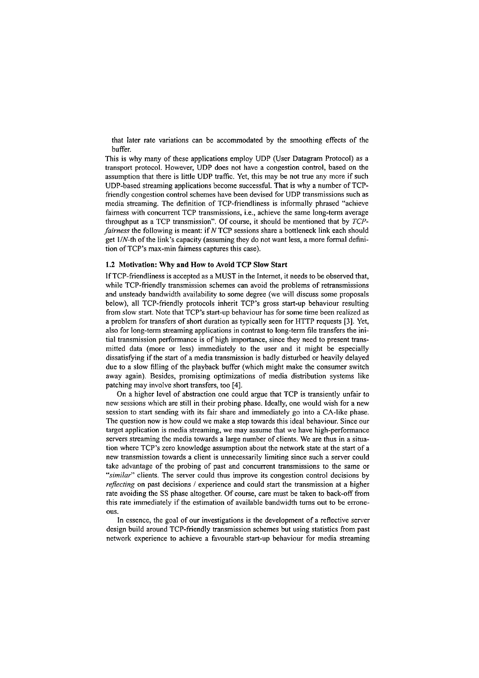that later rate variations can be accommodated by the smoothing effects of the buffer.

This is why many of these applications employ UDP (User Datagram Protocol) as a transport protocol. However, UDP does not have a congestion control, based on the assumption that there is little UDP traffic. Yet, this may be not true any more if such UDP-based streaming applications become successful. That is why a number of TCPfriendly congestion control schemes have been devised for UDP transmissions such as media streaming. The definition of TCP-friendliness is informally phrased "achieve faimess with concurrent TCP transmissions, i.e., achieve the Same long-term average throughput as a TCP transmission". Of course, it should be mentioned that by TCP*fairness* the following is meant: if N TCP sessions share a bottleneck link each should get 1/N-th of the link's capacity (assuming they do not want less, a more formal definition of TCP's max-min faimess captures this case).

## 1.2 Motivation: Why and How to Avoid TCP Slow Start

If TCP-friendliness is accepted as a MUST in the Intemet, it needs to be observed that, while TCP-friendly transmission schemes can avoid the problems of retransmissions and unsteady bandwidth availability **to** some degree (we will discuss some proposals below), all TCP-friendly protocols inherit TCP's gross start-up behaviour resulting from slow start. Note that TCP's start-up behaviour has for some time been realized as a problem for transfers of short duration as typically seen for HTTP requests [3]. Yet, also for long-term streaming applications in contrast to long-term file transfers the initial transmission performance is of high importance, since they need to present transmitted data (more or less) immediately to the user and it might be especially dissatisfying if the start of a media transmission is badly disturbed or heavily delayed due to a slow filling of the playback buffer (which might make the consumer switch away again). Besides, promising optimizations of media distribution systems like patching may involve short transfers, too **[4].** 

On a higher level of abstraction one could argue that TCP is transiently unfair to new sessions which are still in their probing phase. Ideally, one would wish for a new session to start sending with its fair share and immediately go into a CA-like phase. The question now is how could we make a step towards this ideal behaviour. Since our target application is media streaming, we may assume that we have high-perfomance servers streaming the media towards a large number of clients. We are thus in a situation where TCP's Zero knowledge assumption about the network state at the start of a new transmission towards a client is unnecessarily limiting since such a server could take advantage of the probing of past and concurrent transmissions to the Same or *"similar"* clients. The server could thus improve its congestion control decisions by *reflecting* on past decisions / experience and could start the transmission at a higher rate avoiding the SS phase altogether. Of course, care must be taken to back-off from this rate immediately if the estimation of available bandwidth tums out to be errone-OUS.

In essence, the goal of our investigations is the development of a reflective server design build around TCP-friendly transmission schemes but using statistics from past network experience to achieve a favourable start-up behaviour for media streaming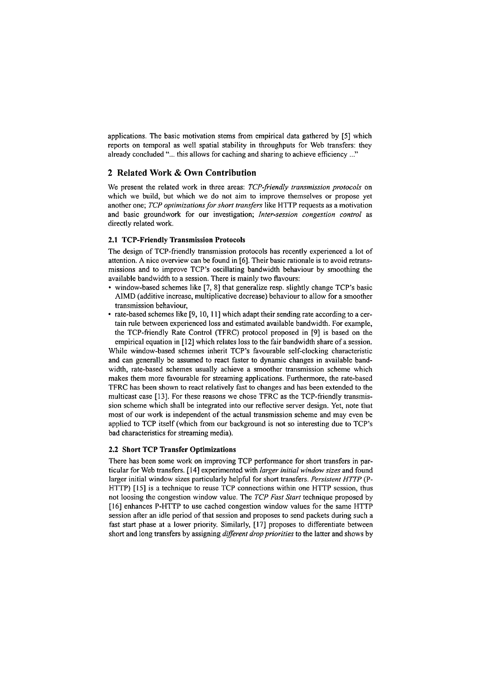applications. The basic motivation stems from empirical data gathered by [5] which reports on temporal as well spatial stability in throughputs for Web transfers: they already concluded "... this allows for caching and sharing to achieve efficiency ..."

# **2 Related Work** & **Own Contribution**

We present the related work in three areas: *TCP-friendfy transrnission protocols* on which we build, but which we do not aim to improve themselves or propose yet another one; *TCP optimizations for short transfers* like HTTP requests as a motivation and basic groundwork for our investigation; *Inter-session congestion control* as directly related work.

### **2.1** TCP-Friendly Transmission Protocols

The design of TCP-friendly transmission protocols has recently experienced a lot of attention. A nice overview can be found in *[6].* Their basic rationale is to avoid retransmissions and to improve TCP's oscillating bandwidth behaviour by smoothing the available bandwidth to a session. There is mainly two flavours:

- window-based schemes like [7, 81 that generalize resp. slightly change TCP's basic AIMD (additive increase, multiplicative decrease) behaviour to allow for a smoother transmission behaviour,
- $\bullet$  rate-based schemes like [9, 10, 11] which adapt their sending rate according to a certain rule between experienced loss and estimated available bandwidth. For example, the TCP-friendly Rate Control (TFRC) protocol proposed in [9] is based on the empirical equation in [12] which relates loss to the fair bandwidth share of a session.

While window-based schemes inherit TCP's favourable self-clocking characteristic and can generally be assumed to react faster to dynamic changes in available bandwidth, rate-based schemes usually achieve a smoother transmission scheme which makes them more favourable for streaming applications. Furthermore, the rate-based TFRC has been shown to react relatively fast to changes and has been extended to the multicast case [13]. For these reasons we chose TFRC as the TCP-friendly transmission scheme which shall be integrated into our reflective server design. Yet, note that most of our work is independent of the actual transmission scheme and may even be applied to TCP itself (which from our background is not so interesting due to TCP's bad characteristics for streaming media).

### **2.2** Short TCP Transfer Optimizations

There has been some work on improving TCP performance for short transfers in particular for Web transfers. **[I41** experimented with *Iarger initial window sizes* and found larger initial window sizes particularly helpfül for short transfers. *Persistent* HTTP (P-HTTP) **[15]** is a technique to reuse TCP connections within one HTTP session, thus not loosing the congestion window value. The *TCP Fast Start* technique proposed by [I61 enhances P-HTTP to use cached congestion window values for the same HTTP session after an idle period of that session and proposes to send packets during such a fast start phase at a lower priority. Similarly, [I71 proposes to differentiate between short and long transfers by assigning *different drop priorities* to the latter and shows by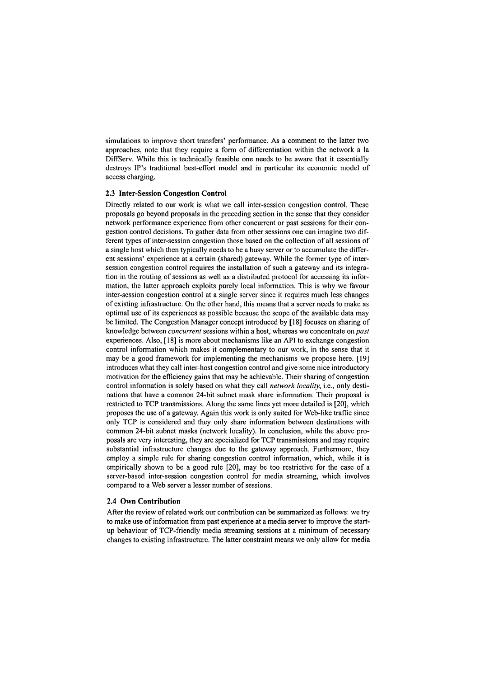simulations to improve short transfers' performance. As a comment to the latter two approaches, note that they require a form of differentiation within the network a la DiffServ. While this is technically feasible one needs to be aware that it essentially destroys IP's traditional best-effort model and in particular its economic model of access charging.

### **2.3** Inter-Session Congestion Control

Directly related to our work is what we call inter-session congestion control. These proposals go beyond proposals in the preceding section in the sense that they consider network performance experience from other concurrent or past sessions for their congestion control decisions. To gather data from other sessions one can imagine two different types of inter-session congestion those based on the collection of all sessions of a single host which then typically needs to be a busy server or to accumulate the different sessions' experience at a certain (shared) gateway. While the former type of intersession congestion control requires the installation of such a gateway and its integration in the routing of sessions as well as a distributed protocol for accessing its information, the latter approach exploits purely local information. This is why we favour inter-session congestion control at a single server since it requires much less changes of existing infrastructure. On the other hand, this means that a server needs to make as optimal use of its experiences as possible because the scope of the available data may be limited. The Congestion Manager concept introduced by [18] focuses on sharing of knowledge between *concurrent* sessions within a host, whereas we concentrate on past experiences. Also, [18] is more about mechanisms like an API to exchange congestion control information which makes it complementary to our work, in the sense that it may be a good framework for implementing the mechanisms we propose here. [19] introduces what they call inter-host congestion control and give some nice introductory motivation for the efficiency gains that may be achievable. Their sharing of congestion control information is solely based on what they call *nelwork locality,* i.e., only destinations that have a common 24-bit subnet mask share information. Their proposal is restricted to TCP transmissions. Along the same lines yet more detailed is [20], which proposes the use of a gateway. Again this work is only suited for Web-like traffic since only TCP is considered and they only share information between destinations with common 24-bit subnet masks (network locality). In conclusion, while the above proposals are very interesting, they are specialized for TCP transmissions and may require substantial infrastructure changes due to the gateway approach. Furthermore, they employ a simple mle for sharing congestion control information, which, while it is empirically shown to be a good rule [20], may be too restrictive for the case of a server-based inter-session congestion control for media streaming, which involves compared to a Web server a lesser number of sessions.

#### 2.4 Own Contribution

After the review of related work our contribution can be summarized as follows: we try to make use of information from past experience at a media server to improve the startup behaviour of TCP-friendly media streaming sessions at a minimum of necessary changes to existing infrastructure. The latter constraint means we only allow for media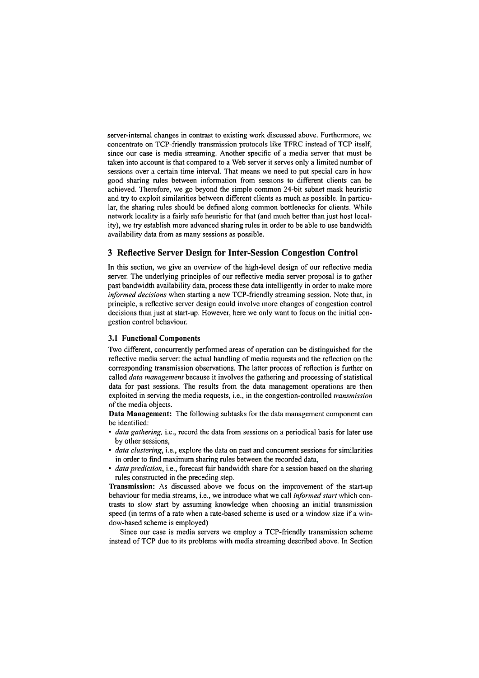server-intemal changes in contrast to existing work discussed above. Furthermore, we concentrate on TCP-friendly transmission protocols like TFRC instead of TCP itself, since our case is media streaming. Another specific of a media server that must be taken into account is that compared to a Web server it serves only a limited number of sessions over a certain time intewal. That means we need to put special care in how good sharing rules between information from sessions to different clients can be achieved. Therefore, we go beyond the simple common 24-bit subnet mask heuristic and **try** to exploit similarities between different clients as much as possible. In particular, the sharing rules should be defined along common bottlenecks for clients. While network locality is a fairly safe heuristic for that (and much better than just host locality), we try establish more advanced sharing mles in order to be able to use bandwidth availability data from as many sessions as possible.

# **3 Reflective Server Design for Inter-Session Congestion Control**

In this section, we give an overview of the high-level design of our reflective media server. The underlying principles of our reflective media server proposal is to gather past bandwidth availability data, process these data intelligently in order to make more *informed decisions* when starting a new TCP-friendly streaming session. Note that, in principle, a reflective server design could involve more changes of congestion control decisions than just at start-up. However, here we only want to focus on the initial congestion control behaviour.

#### **3.1** Functional Components

Two different, concurrently performed areas of operation can be distinguished for the reflective media server: the actual handling of media requests and the reflection on the corresponding transmission observations. The latter process of reflection is further on called *data management* because it involves the gathering and processing of statistical data for past sessions. The results from the data management operations are then exploited in serving the media requests, i.e., in the congestion-controlled *transmission*  of the media objects.

Data Management: The following subtasks for the data management component can be identified:

- *data gathering,* i.e., record the data from sessions on a periodical basis for later use by other sessions,
- *data clustering,* i.e., explore the data on past and concurrent sessions for similarities in order to find maximum sharing rules between the recorded data,
- *data prediction*, i.e., forecast fair bandwidth share for a session based on the sharing rules constructed in the preceding step.

Transmission: As discussed above we focus on the improvement of the start-up behaviour for media streams, i.e., we introduce what we call *informed start* which contrasts to slow start by assuming knowledge when choosing an initial transmission speed (in terms of a rate when a rate-based scheme is used or a window size if a window-based scheme is employed)

Since our case is media servers we employ a TCP-friendly transmission scheme instead of TCP due to its problems with media streaming described above. In Section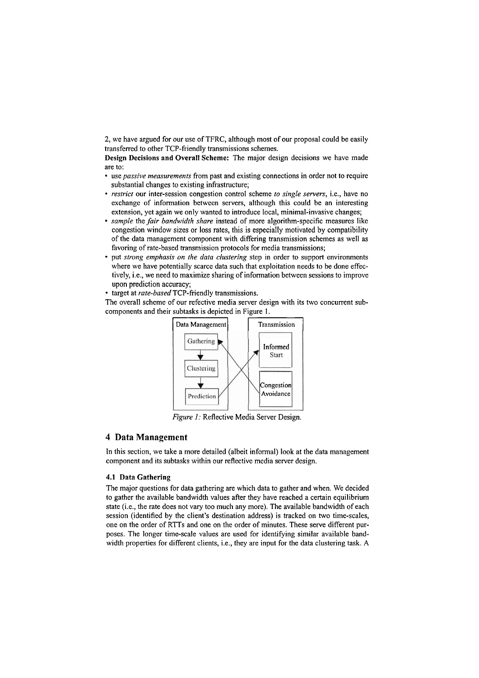2, we have argued for our use of TFRC, although most of our proposal could be easily transferred to other TCP-friendly transmissions schemes.

**Design Decisions and Overall Scheme:** The major design decisions we have made are to:

- *usepassive measurements* from past and existing connections in order not to require substantial changes to existing infrastructure;
- *restrict* our inter-session congestion control scheme *10 single servers,* i.e., have no exchange of information between servers, although this could be an interesting extension, yet again we only wanted to introduce local, minimal-invasive changes;
- *sample* the *fair bandwidth share* instead of more algorithm-specific measures like congestion window sizes or loss rates, this is especially motivated by compatibility of the data management component with differing transmission schemes as well **as**  favoring of rate-based transmission protocols for media transmissions;
- put *strong emphasis on the data clustering* step in order to support environments where we have potentially scarce data such that exploitation needs to be done effectively, i.e., we need to maximize sharing of information between sessions to improve upon prediction accuracy; our sizes or loss rates, this is especially motivated by<br>gement component with differing transmission scheen<br>assed transmission protocols for media transmissions.<br>asis on the data clustering step in order to support<br>otenti
- target at *rate-based* TCP-friendly transmissions.

The overall scheme of our refective media server design with its two concurrent subcomponents and their subtasks is depicted in Figure 1.



*Figure I:* Reflective Media Server Design.

# **4 Data Management**

In this section, we take a more detailed (albeit informal) look at the data management component and its subtasks within our reflective media server design.

### **4.1 Data Gathering**

The major questions for data gathering are which data to gather and when. We decided to gather the available bandwidth values after they have reached a certain equilibrium state (i.e., the rate does not vary too much any more). The available bandwidth of each session (identified by the client's destination address) is tracked on two time-scales, one on the order of RTTs and one on the order of minutes. These serve different purposes. The longer time-scale values are used for identifying similar available bandwidth properties for different clients, i.e., they are input for the data clustering task. A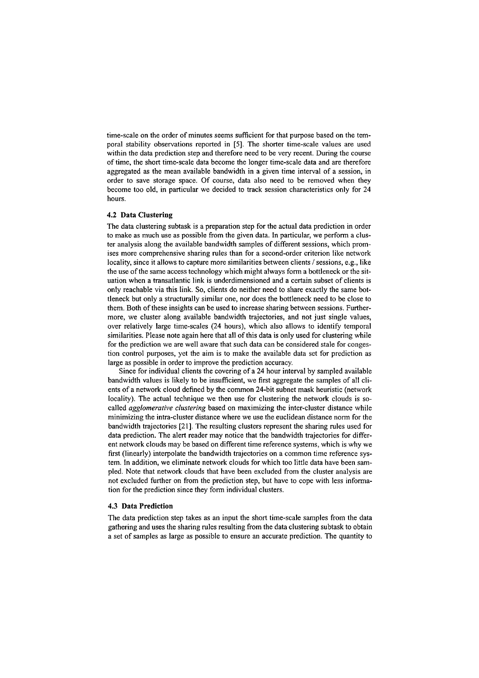time-scale on the order of minutes seems sufficient for that purpose based on the temporal stability obsewations reported in **[5].** The shorter time-scale values are used within the data prediction step and therefore need to be very recent. During the course of time, the short time-scale data become the longer time-scale data and are therefore aggregated as the mean available bandwidth in a given time interval of a session, in order to save storage space. Of course, data also need to be removed when they become too old, in particular we decided to track session characteristics only for 24 hours.

#### **4.2 Data Clustering**

The data clustering subtask is a preparation step for the actual data prediction in order to inake as much use as possible from the given data. In particular, we perform a cluster analysis along the available bandwidth samples of different sessions, which promises more comprehensive sharing rules than for a second-order criterion like network locality, since it allows to capture more similarities between clients / sessions, e.g., like the use of the same access technology which might always form a bottleneck or the situation when a transatlantic link is underdimensioned and a certain subset of clients is only reachable via this link. So, clients do neither need to share exactly the same bottleneck but only a structurally similar one, nor does the bottleneck need to be close to them. Both of these insights can be used to increase sharing between sessions. Furthermore, we cluster along available bandwidth trajectories, and not just single values, over relatively large time-scales (24 hours), which also allows to identify temporal similarities. Please note again here that all of this data is only used for clustering while for the prediction we are well aware that such data can be considered stale for congestion control purposes, yet the aim is to make the available data set for prediction as large as possible in order to improve the prediction accuracy.

Since for individual clients the covering of a 24 hour intewal by sampled available bandwidth values is likely to be insuficient, we first aggregate the samples of all clients of a network cloud defined by the common 24-bit subnet mask heuristic (network locality). The actual technique we then use for clustering the network clouds is socalled *agglomerative clustering* based on maximizing the inter-cluster distance while minimizing the intra-cluster distance where we use the euclidean distance norm for the bandwidth trajectories [21]. The resulting clusters represent the sharing rules used for data prediction. The alert reader may notice that the bandwidth trajectories for different network clouds may be based on different time reference Systems, which is why we first (linearly) interpolate the bandwidth trajectories on a common time reference system. In addition, we eliminate network clouds for which too little data have been sampled. Note that network clouds that have been excluded from the cluster analysis are not excluded iürther on from the prediction step, but have to cope with less information for the prediction since they form individual clusters.

#### **4.3 Data Prediction**

The data prediction step takes as an input the short time-scale samples from the data gathering and uses the sharing rules resulting from the data clustering subtask to obtain a set of samples as large **as** possible to ensure an accurate prediction. The quantity to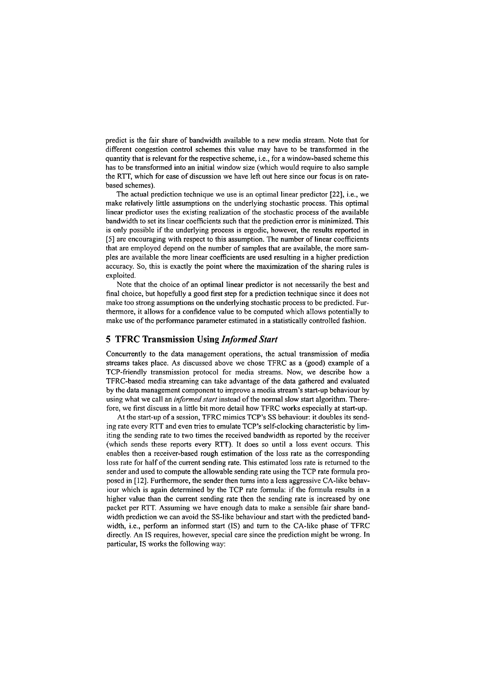predict is the fair share of bandwidth available to a new media stream. Note that for different congestion control schemes this value may have to be transformed in the quantity that is relevant for the respective scheme, i.e., for a window-based scheme this has to be transformed into an initial window size (which would require to also sample the RTT, which for ease of discussion we have left out here since our focus is on ratebased schemes).

The actual prediction technique we use is an optimal linear predictor [22], i.e., we make relatively little assumptions on the underlying stochastic process. This optimal linear predictor uses the existing realization of the stochastic process of the available bandwidth to set its linear coefficients such that the prediction error is minimized. This is only possible if the underlying process is ergodic, however, the results reported in **[5]** are encouraging with respect to this assumption. The number of linear coefficients that are employed depend on the number of samples that are available, the more samples are available the more linear coefficients are used resulting in a higher prediction accuracy. So, this is exactly the point where the maximization of the sharing rules is exploited.

Note that the choice of an optimal linear predictor is not necessarily the best and final choice, but hopefully a good first step for a prediction technique since it does not make too strong assumptions on the underlying stochastic process to be predicted. Furthermore, it allows for a confidence value to be computed which allows potentially to make use of the performance parameter estimated in a statistically controlled fashion.

## **5 TFRC Transmission Using** *Informed Start*

Concurrently to the data management operations, the actual transmission of media streams takes place. As discussed above we chose TFRC as a (good) example of a TCP-friendly transmission protocol for media streams. Now, we describe how a TFRC-based media streaming can take advantage of the data gathered and evaluated by the data management component to improve a media stream's start-up behaviour by using what we call an *informed start* instead of the normal slow start algorithm. Therefore, we first discuss in a little bit more detail how TFRC works especially at start-up.

At the start-up of a session, TFRC mimics TCP's SS behaviour: it doubles its sending rate every RTT and even tries to emulate TCP's self-clocking characteristic by limiting the sending rate to two times the received bandwidth as reported by the receiver (which sends these reports every RTT). It does so until a loss event occurs. This enables then a receiver-based rough estimation of the loss rate as the corresponding loss rate for half of the current sending rate. This estimated loss rate is retumed to the sender and used to compute the allowable sending rate using the TCP rate formula proposed in [12]. Furthermore, the sender then tums into a less aggressive CA-like behaviour which is again determined by the TCP rate formula: if the formula results in a higher value than the current sending rate then the sending rate is increased by one packet per RTT. Assuming we have enough data to make a sensible fair share bandwidth prediction we can avoid the SS-like behaviour and start with the predicted bandwidth, i.e., perform an informed start (1s) and turn to the CA-like phase of TFRC directly. An IS requires, however, special care since the prediction might be wrong. In particular, IS works the following way: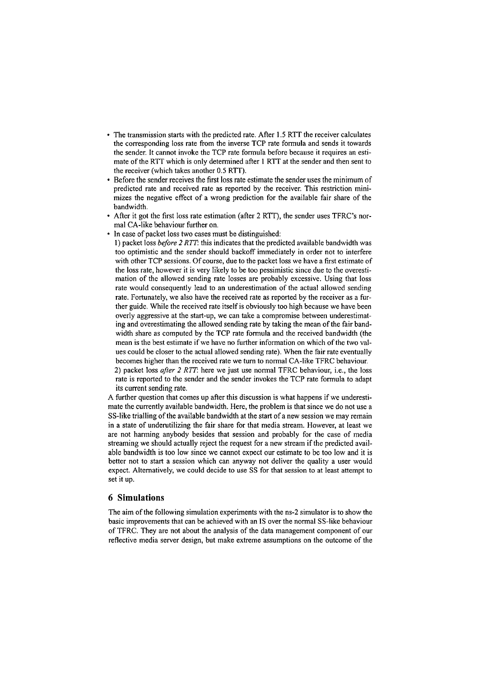- The transmission starts with the predicted rate. After 1.5 RTT the receiver calculates the corresponding loss rate from the inverse TCP rate formula and sends it towards the sender. It cannot invoke the TCP rate formula before because it requires an estimate of the RTT which is only determined after 1 RTT at the sender and then sent to the receiver (which takes another 0.5 RTT).
- Before the sender receives the first loss rate estimate the sender uses the minimum of predicted rate and received rate **as** reported by the receiver. This restriction minimizes the negative effect of a wrong prediction for the available fair share of the bandwidth.
- After it got the first loss rate estimation (after 2 RTT), the sender uses TFRC's normal CA-like behaviour further on.
- In case of packet loss two cases must be distinguished:

1) packet loss before 2 **RiT** this indicates that the predicted available bandwidth was too optimistic and the sender should backoff immediately in order not to interfere with other TCP sessions. Of course, due to the packet loss we have a first estimate of the loss rate, however it is very likely to be too pessimistic since due to the overestimation of the allowed sending rate losses are probably excessive. Using that loss rate would consequently lead to an underestimation of the actual allowed sending rate. Fortunately, we also have the received rate as reported by the receiver as a further guide. While the received rate itself is obviously too high because we have been overly aggressive at the start-up, we can take a compromise between underestimating and overestimating the allowed sending rate by taking the mean of the fair bandwidth share as computed by the TCP rate formula and the received bandwidth (the mean is the best estimate if we have no further information on which of the two values could be closer to the actual allowed sending rate). When the fair rate eventually becomes higher than the received rate we tum to normal CA-like TFRC behaviour. 2) packet loss *aper* 2 **R7T** here we just use normal TFRC behaviour, i.e., the loss

rate is reported to the sender and the sender invokes the TCP rate formula to adapt its current sending rate.

A further question that Comes up after this discussion is what happens if we underestimate the currently available bandwidth. Here, the problem is that since we do not use a SS-like trialling of the available bandwidth at the start of a new session we may remain in a state of underutilizing the fair share for that media stream. However, at least we are not harming anybody besides that session and probably for the case of media streaming we should actually reject the request for a new stream if the predicted available bandwidth is too low since we cannot expect our estimate to be too low and it is better not to start a session which can anyway not deliver the quality a user would expect. Altematively, we could decide to use SS for that session to at least attempt to set it up.

# **6 Simulations**

The aim of the following simulation experiments with the ns-2 simulator is to show the basic improvements that can be achieved with an IS over the normal SS-like behaviour of TFRC. They are not about the analysis of the data management component of our reflective media Server design, but make extreme assumptions on the outcome of the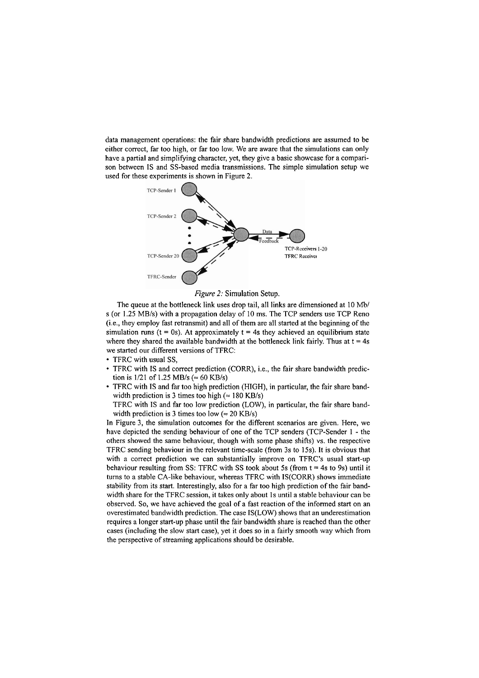data management operations: the fair share bandwidth predictions are assumed to be either correct, far too high, or far too low. We are aware that the simulations can only have a partial and simplifying character, yet, they give a basic showcase for a comparison between IS and SS-based media transmissions. The simple simulation setup we used for these experiments is shown in Figure 2.



Figure 2: Simulation Setup.

The queue at the bottleneck link uses drop tail, all links are dimensioned at 10 Mb/ s (or 1.25 MB/s) with a propagation delay of 10 ms. The TCP senders use TCP Reno (i.e., they employ fast retransmit) and all of them are all started at the beginning of the simulation runs ( $t = 0$ s). At approximately  $t = 4s$  they achieved an equilibrium state where they shared the available bandwidth at the bottleneck link fairly. Thus at  $t = 4s$ we started our different versions of TFRC:

- TFRC with usual SS,
- TFRC with IS and correct prediction (CORR), i.e., the fair share bandwidth prediction is  $1/21$  of 1.25 MB/s ( $\approx 60$  KB/s)
- TFRC with IS and far too high prediction (HIGH), in particular, the fair share bandwidth prediction is 3 times too high ( $\approx$  180 KB/s)

TFRC with IS and far too low prediction (LOW), in particular, the fair share bandwidth prediction is 3 times too low ( $\approx 20$  KB/s)

In Figure **3,** the simulation outcomes for the different scenarios are given. Here, we have depicted the sending behaviour of one of the TCP senders (TCP-Sender 1 - the others showed the Same behaviour, though with some phase shifts) vs. the respective TFRC sending behaviour in the relevant time-scale (from 3s to 15s). It is obvious that with a correct prediction we can substantially improve on TFRC's usual start-up behaviour resulting from SS: TFRC with SS took about 5s (from  $t = 4s$  to 9s) until it tums to a stable CA-like behaviour, whereas TFRC with IS(C0RR) shows immediate stability from its start. Interestingly, also for a far too high prediction of the fair bandwidth share for the TFRC session, it takes only about 1s until a stable behaviour can be observed. So, we have achieved the goal of a fast reaction of the informed start on an overestimated bandwidth prediction. The case IS(L0W) shows that an underestimation requires a longer start-up phase until the fair bandwidth share is reached than the other cases (including the slow start case), yet it does so in a fairly smooth way which from the perspective of streaming applications should be desirable.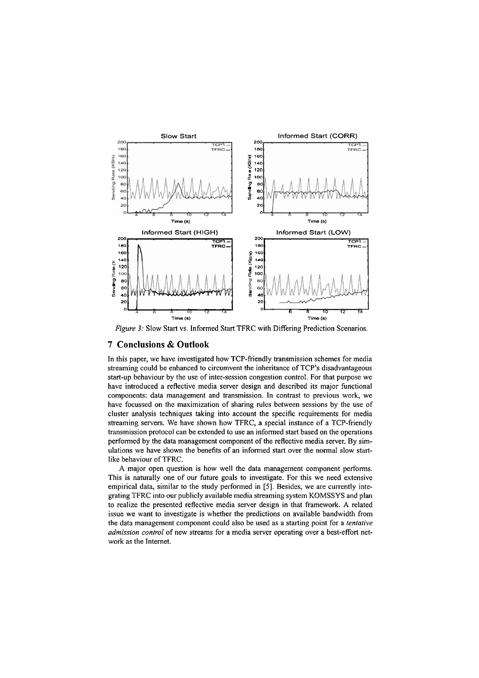

*Figure 3:* Slow Start vs. lnformed Start TFRC with Differing Prediction Scenarios.

# **7 Conclusions** & **Outlook**

In this paper, we have investigated how TCP-friendly transmission schemes for media streaming could be enhanced to circumvent the inheritance of TCP's disadvantageous start-up behaviour by the use of inter-session congestion control. For that purpose we have introduced a reflective media server design and described its major functional components: data management and transmission. In contrast to previous work, we have focussed on the maximization of sharing rules between sessions by the use of cluster analysis techniques taking into account the specific requirements for media streaming Servers. We have shown how TFRC, a special instance of a TCP-friendly transmission protocol can be extended to use an informed start based on the operations performed by the data management component of the reflective media server. By simulations we have shown the benefits of an informed start over the normal slow startlike behaviour of TFRC.

A major Open question is how well the data management component performs. This is naturally one of our future goals to investigate. For this we need extensive empirical data, similar to the study performed in **[5].** Besides, we are currently integrating TFRC into our publicly available media streaming system KOMSSYS and plan to realize the presented reflective media server design in that framework. A related issue we Want to investigate is whether the predictions on available bandwidth from the data management component could also be used as a starting point for a *tentative admission control* of new streams for a media server operating over a best-effort network as the Internet.